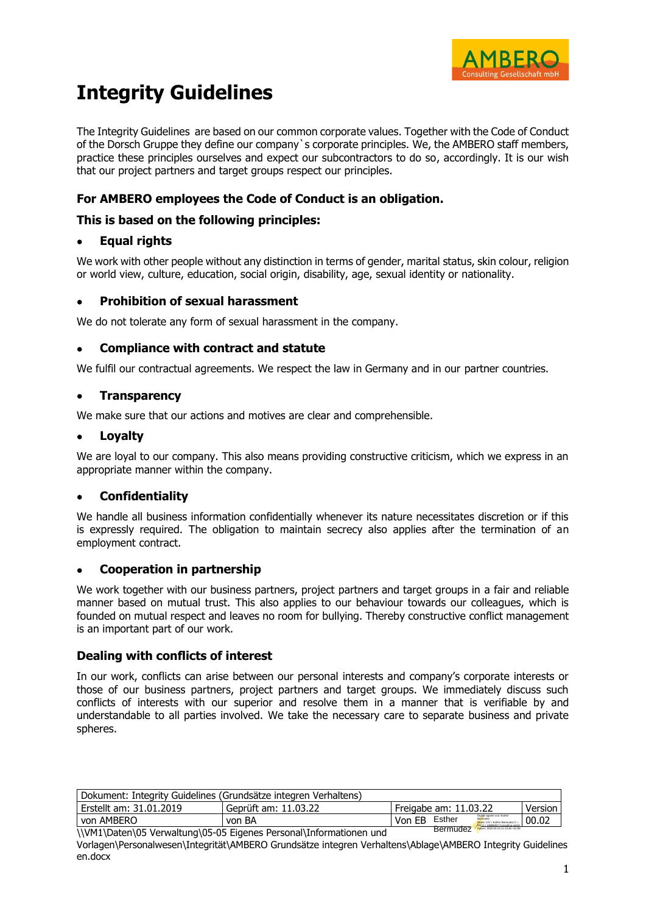

# **Integrity Guidelines**

The Integrity Guidelines are based on our common corporate values. Together with the Code of Conduct of the Dorsch Gruppe they define our company`s corporate principles. We, the AMBERO staff members, practice these principles ourselves and expect our subcontractors to do so, accordingly. It is our wish that our project partners and target groups respect our principles.

# **For AMBERO employees the Code of Conduct is an obligation.**

# **This is based on the following principles:**

# • **Equal rights**

We work with other people without any distinction in terms of gender, marital status, skin colour, religion or world view, culture, education, social origin, disability, age, sexual identity or nationality.

## • **Prohibition of sexual harassment**

We do not tolerate any form of sexual harassment in the company.

# • **Compliance with contract and statute**

We fulfil our contractual agreements. We respect the law in Germany and in our partner countries.

# • **Transparency**

We make sure that our actions and motives are clear and comprehensible.

## • **Loyalty**

We are loyal to our company. This also means providing constructive criticism, which we express in an appropriate manner within the company.

# • **Confidentiality**

We handle all business information confidentially whenever its nature necessitates discretion or if this is expressly required. The obligation to maintain secrecy also applies after the termination of an employment contract.

## • **Cooperation in partnership**

We work together with our business partners, project partners and target groups in a fair and reliable manner based on mutual trust. This also applies to our behaviour towards our colleagues, which is founded on mutual respect and leaves no room for bullying. Thereby constructive conflict management is an important part of our work.

## **Dealing with conflicts of interest**

In our work, conflicts can arise between our personal interests and company's corporate interests or those of our business partners, project partners and target groups. We immediately discuss such conflicts of interests with our superior and resolve them in a manner that is verifiable by and understandable to all parties involved. We take the necessary care to separate business and private spheres.

| Dokument: Integrity Guidelines (Grundsätze integren Verhaltens) |                                                                                   |                       |                 |                                                                                                                |       |  |  |  |
|-----------------------------------------------------------------|-----------------------------------------------------------------------------------|-----------------------|-----------------|----------------------------------------------------------------------------------------------------------------|-------|--|--|--|
| Erstellt am: 31.01.2019                                         | Geprüft am: 11.03.22                                                              | Freigabe am: 11.03.22 |                 | Version                                                                                                        |       |  |  |  |
| von AMBERO                                                      | von BA                                                                            | Von EB                | Esther          | Digital signiert von: Esther<br>Bermudez<br>Name: CN = Esther Bermudez C =<br>DR O - AMRERO Consultion ombit a | 00.02 |  |  |  |
|                                                                 | $11100411$ Detail OF $16.$ and the sel OF OF Figures Desearch Information on $1.$ |                       | <b>Bermudez</b> | Datum: 2022.03.14 11:13:35 +01'00"                                                                             |       |  |  |  |

\\VM1\Daten\05 Verwaltung\05-05 Eigenes Personal\Informationen und

Vorlagen\Personalwesen\Integrität\AMBERO Grundsätze integren Verhaltens\Ablage\AMBERO Integrity Guidelines en.docx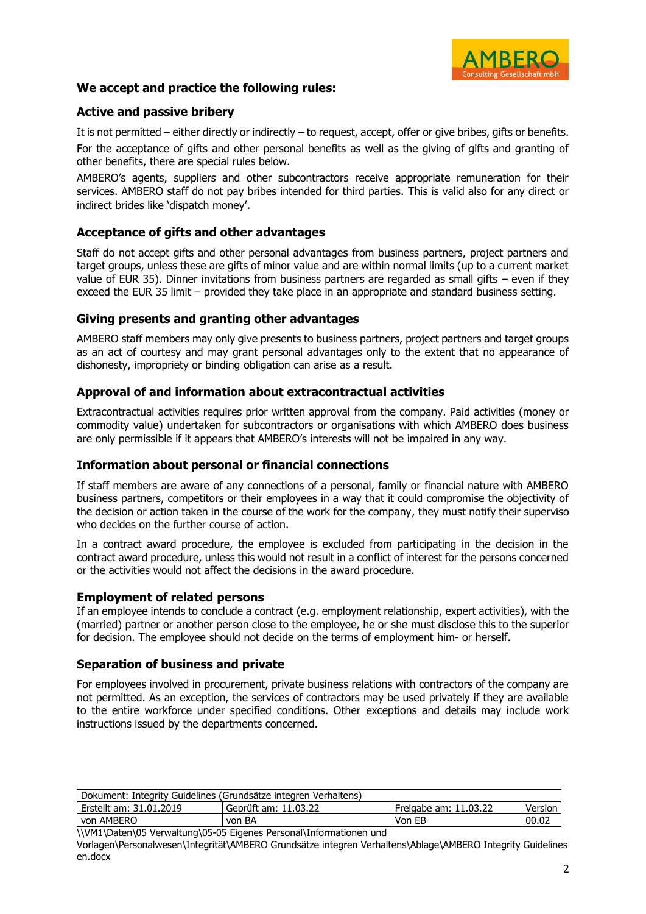

# **We accept and practice the following rules:**

# **Active and passive bribery**

It is not permitted – either directly or indirectly – to request, accept, offer or give bribes, gifts or benefits. For the acceptance of gifts and other personal benefits as well as the giving of gifts and granting of other benefits, there are special rules below.

AMBERO's agents, suppliers and other subcontractors receive appropriate remuneration for their services. AMBERO staff do not pay bribes intended for third parties. This is valid also for any direct or indirect brides like 'dispatch money'.

## **Acceptance of gifts and other advantages**

Staff do not accept gifts and other personal advantages from business partners, project partners and target groups, unless these are gifts of minor value and are within normal limits (up to a current market value of EUR 35). Dinner invitations from business partners are regarded as small gifts – even if they exceed the EUR 35 limit – provided they take place in an appropriate and standard business setting.

#### **Giving presents and granting other advantages**

AMBERO staff members may only give presents to business partners, project partners and target groups as an act of courtesy and may grant personal advantages only to the extent that no appearance of dishonesty, impropriety or binding obligation can arise as a result.

## **Approval of and information about extracontractual activities**

Extracontractual activities requires prior written approval from the company. Paid activities (money or commodity value) undertaken for subcontractors or organisations with which AMBERO does business are only permissible if it appears that AMBERO's interests will not be impaired in any way.

## **Information about personal or financial connections**

If staff members are aware of any connections of a personal, family or financial nature with AMBERO business partners, competitors or their employees in a way that it could compromise the objectivity of the decision or action taken in the course of the work for the company, they must notify their superviso who decides on the further course of action.

In a contract award procedure, the employee is excluded from participating in the decision in the contract award procedure, unless this would not result in a conflict of interest for the persons concerned or the activities would not affect the decisions in the award procedure.

#### **Employment of related persons**

If an employee intends to conclude a contract (e.g. employment relationship, expert activities), with the (married) partner or another person close to the employee, he or she must disclose this to the superior for decision. The employee should not decide on the terms of employment him- or herself.

## **Separation of business and private**

For employees involved in procurement, private business relations with contractors of the company are not permitted. As an exception, the services of contractors may be used privately if they are available to the entire workforce under specified conditions. Other exceptions and details may include work instructions issued by the departments concerned.

| Dokument: Integrity Guidelines (Grundsätze integren Verhaltens) |                      |                       |         |  |  |  |
|-----------------------------------------------------------------|----------------------|-----------------------|---------|--|--|--|
| Erstellt am: 31.01.2019                                         | Geprüft am: 11.03.22 | Freigabe am: 11.03.22 | Version |  |  |  |
| von AMBERO                                                      | von BA               | Von EB                | 00.02   |  |  |  |

\\VM1\Daten\05 Verwaltung\05-05 Eigenes Personal\Informationen und

Vorlagen\Personalwesen\Integrität\AMBERO Grundsätze integren Verhaltens\Ablage\AMBERO Integrity Guidelines en.docx